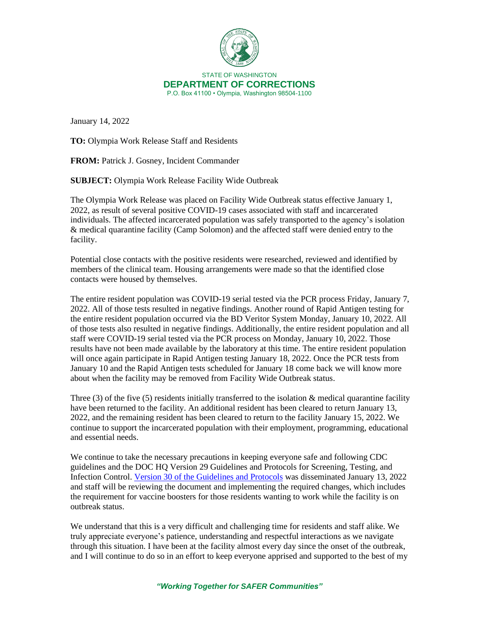

January 14, 2022

**TO:** Olympia Work Release Staff and Residents

**FROM:** Patrick J. Gosney, Incident Commander

**SUBJECT:** Olympia Work Release Facility Wide Outbreak

The Olympia Work Release was placed on Facility Wide Outbreak status effective January 1, 2022, as result of several positive COVID-19 cases associated with staff and incarcerated individuals. The affected incarcerated population was safely transported to the agency's isolation & medical quarantine facility (Camp Solomon) and the affected staff were denied entry to the facility.

Potential close contacts with the positive residents were researched, reviewed and identified by members of the clinical team. Housing arrangements were made so that the identified close contacts were housed by themselves.

The entire resident population was COVID-19 serial tested via the PCR process Friday, January 7, 2022. All of those tests resulted in negative findings. Another round of Rapid Antigen testing for the entire resident population occurred via the BD Veritor System Monday, January 10, 2022. All of those tests also resulted in negative findings. Additionally, the entire resident population and all staff were COVID-19 serial tested via the PCR process on Monday, January 10, 2022. Those results have not been made available by the laboratory at this time. The entire resident population will once again participate in Rapid Antigen testing January 18, 2022. Once the PCR tests from January 10 and the Rapid Antigen tests scheduled for January 18 come back we will know more about when the facility may be removed from Facility Wide Outbreak status.

Three (3) of the five (5) residents initially transferred to the isolation  $\&$  medical quarantine facility have been returned to the facility. An additional resident has been cleared to return January 13, 2022, and the remaining resident has been cleared to return to the facility January 15, 2022. We continue to support the incarcerated population with their employment, programming, educational and essential needs.

We continue to take the necessary precautions in keeping everyone safe and following CDC guidelines and the DOC HQ Version 29 Guidelines and Protocols for Screening, Testing, and Infection Control. [Version 30 of the Guidelines and Protocols](https://doc.wa.gov/corrections/covid-19/docs/screening-testing-infection-control-guideline.pdf) was disseminated January 13, 2022 and staff will be reviewing the document and implementing the required changes, which includes the requirement for vaccine boosters for those residents wanting to work while the facility is on outbreak status.

We understand that this is a very difficult and challenging time for residents and staff alike. We truly appreciate everyone's patience, understanding and respectful interactions as we navigate through this situation. I have been at the facility almost every day since the onset of the outbreak, and I will continue to do so in an effort to keep everyone apprised and supported to the best of my

## *"Working Together for SAFER Communities"*